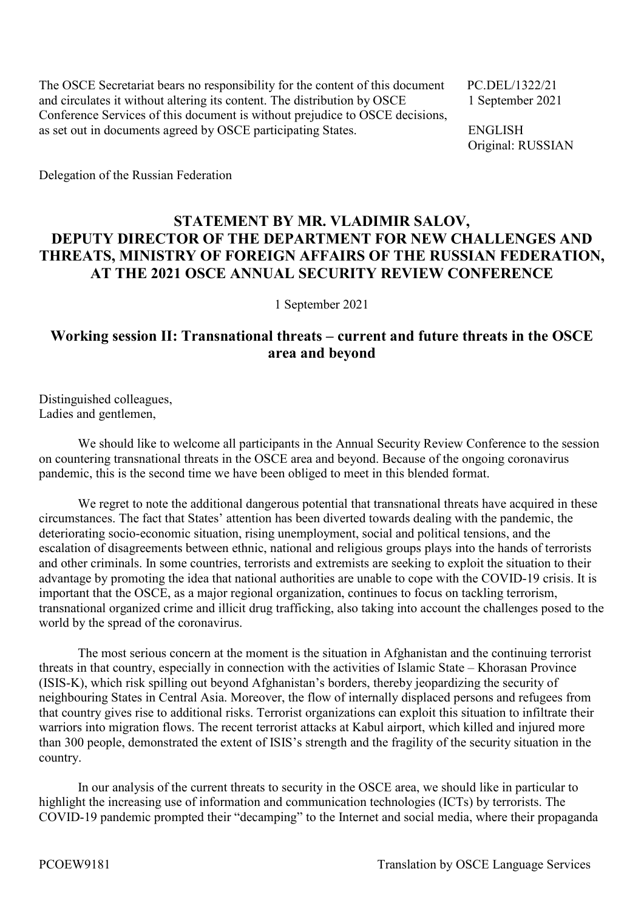The OSCE Secretariat bears no responsibility for the content of this document PC.DEL/1322/21 and circulates it without altering its content. The distribution by OSCE 1 September 2021 Conference Services of this document is without prejudice to OSCE decisions, as set out in documents agreed by OSCE participating States. ENGLISH

Original: RUSSIAN

Delegation of the Russian Federation

## **STATEMENT BY MR. VLADIMIR SALOV, DEPUTY DIRECTOR OF THE DEPARTMENT FOR NEW CHALLENGES AND THREATS, MINISTRY OF FOREIGN AFFAIRS OF THE RUSSIAN FEDERATION, AT THE 2021 OSCE ANNUAL SECURITY REVIEW CONFERENCE**

1 September 2021

## **Working session II: Transnational threats – current and future threats in the OSCE area and beyond**

Distinguished colleagues, Ladies and gentlemen,

We should like to welcome all participants in the Annual Security Review Conference to the session on countering transnational threats in the OSCE area and beyond. Because of the ongoing coronavirus pandemic, this is the second time we have been obliged to meet in this blended format.

We regret to note the additional dangerous potential that transnational threats have acquired in these circumstances. The fact that States' attention has been diverted towards dealing with the pandemic, the deteriorating socio-economic situation, rising unemployment, social and political tensions, and the escalation of disagreements between ethnic, national and religious groups plays into the hands of terrorists and other criminals. In some countries, terrorists and extremists are seeking to exploit the situation to their advantage by promoting the idea that national authorities are unable to cope with the COVID-19 crisis. It is important that the OSCE, as a major regional organization, continues to focus on tackling terrorism, transnational organized crime and illicit drug trafficking, also taking into account the challenges posed to the world by the spread of the coronavirus.

The most serious concern at the moment is the situation in Afghanistan and the continuing terrorist threats in that country, especially in connection with the activities of Islamic State – Khorasan Province (ISIS-K), which risk spilling out beyond Afghanistan's borders, thereby jeopardizing the security of neighbouring States in Central Asia. Moreover, the flow of internally displaced persons and refugees from that country gives rise to additional risks. Terrorist organizations can exploit this situation to infiltrate their warriors into migration flows. The recent terrorist attacks at Kabul airport, which killed and injured more than 300 people, demonstrated the extent of ISIS's strength and the fragility of the security situation in the country.

In our analysis of the current threats to security in the OSCE area, we should like in particular to highlight the increasing use of information and communication technologies (ICTs) by terrorists. The COVID-19 pandemic prompted their "decamping" to the Internet and social media, where their propaganda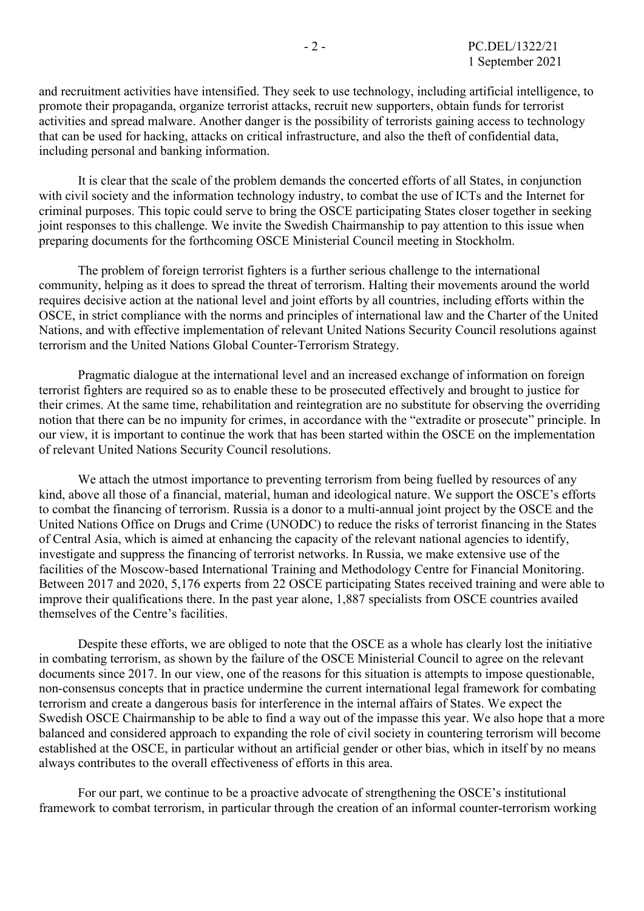and recruitment activities have intensified. They seek to use technology, including artificial intelligence, to promote their propaganda, organize terrorist attacks, recruit new supporters, obtain funds for terrorist activities and spread malware. Another danger is the possibility of terrorists gaining access to technology that can be used for hacking, attacks on critical infrastructure, and also the theft of confidential data, including personal and banking information.

It is clear that the scale of the problem demands the concerted efforts of all States, in conjunction with civil society and the information technology industry, to combat the use of ICTs and the Internet for criminal purposes. This topic could serve to bring the OSCE participating States closer together in seeking joint responses to this challenge. We invite the Swedish Chairmanship to pay attention to this issue when preparing documents for the forthcoming OSCE Ministerial Council meeting in Stockholm.

The problem of foreign terrorist fighters is a further serious challenge to the international community, helping as it does to spread the threat of terrorism. Halting their movements around the world requires decisive action at the national level and joint efforts by all countries, including efforts within the OSCE, in strict compliance with the norms and principles of international law and the Charter of the United Nations, and with effective implementation of relevant United Nations Security Council resolutions against terrorism and the United Nations Global Counter-Terrorism Strategy.

Pragmatic dialogue at the international level and an increased exchange of information on foreign terrorist fighters are required so as to enable these to be prosecuted effectively and brought to justice for their crimes. At the same time, rehabilitation and reintegration are no substitute for observing the overriding notion that there can be no impunity for crimes, in accordance with the "extradite or prosecute" principle. In our view, it is important to continue the work that has been started within the OSCE on the implementation of relevant United Nations Security Council resolutions.

We attach the utmost importance to preventing terrorism from being fuelled by resources of any kind, above all those of a financial, material, human and ideological nature. We support the OSCE's efforts to combat the financing of terrorism. Russia is a donor to a multi-annual joint project by the OSCE and the United Nations Office on Drugs and Crime (UNODC) to reduce the risks of terrorist financing in the States of Central Asia, which is aimed at enhancing the capacity of the relevant national agencies to identify, investigate and suppress the financing of terrorist networks. In Russia, we make extensive use of the facilities of the Moscow-based International Training and Methodology Centre for Financial Monitoring. Between 2017 and 2020, 5,176 experts from 22 OSCE participating States received training and were able to improve their qualifications there. In the past year alone, 1,887 specialists from OSCE countries availed themselves of the Centre's facilities.

Despite these efforts, we are obliged to note that the OSCE as a whole has clearly lost the initiative in combating terrorism, as shown by the failure of the OSCE Ministerial Council to agree on the relevant documents since 2017. In our view, one of the reasons for this situation is attempts to impose questionable, non-consensus concepts that in practice undermine the current international legal framework for combating terrorism and create a dangerous basis for interference in the internal affairs of States. We expect the Swedish OSCE Chairmanship to be able to find a way out of the impasse this year. We also hope that a more balanced and considered approach to expanding the role of civil society in countering terrorism will become established at the OSCE, in particular without an artificial gender or other bias, which in itself by no means always contributes to the overall effectiveness of efforts in this area.

For our part, we continue to be a proactive advocate of strengthening the OSCE's institutional framework to combat terrorism, in particular through the creation of an informal counter-terrorism working